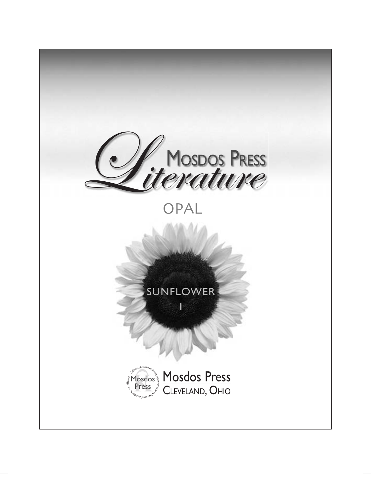

# OPAL

# SUNFLOWER

1



Mosdos Press CLEVELAND, OHIO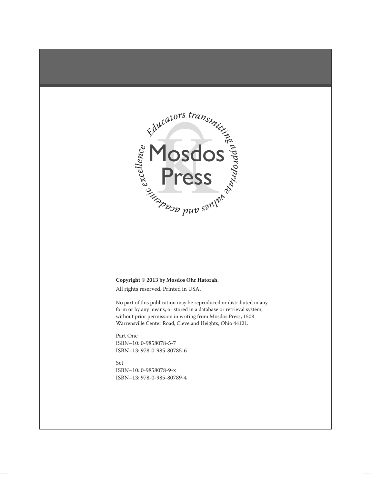

#### **Copyright © 2013 by Mosdos Ohr Hatorah.**

All rights reserved. Printed in USA.

No part of this publication may be reproduced or distributed in any form or by any means, or stored in a database or retrieval system, without prior permission in writing from Mosdos Press, 1508 Warrensville Center Road, Cleveland Heights, Ohio 44121.

**Part One** Part One ISBN10: 0-9858078-6-5 isbn–10: 0-9858078-5-7 ISBN13: 978-0-985-80786-3 isbn–13: 978-0-985-80785-6

**Set** Set ISBN-10: 0-9858078-3-0 isbn–10: 0-9858078-9-x ISBN-13: 978-0-985-80783-2 isbn–13: 978-0-985-80789-4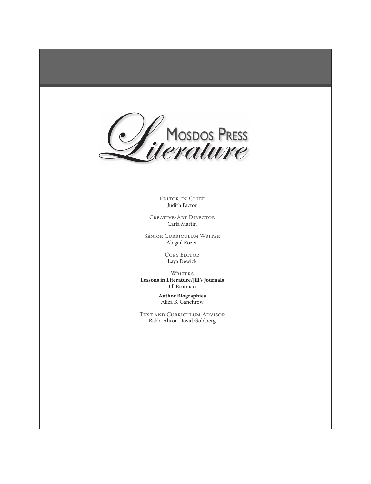

EDITOR-IN-CHIEF Judith Factor

CREATIVE/ART DIRECTOR Carla Martin

SENIOR CURRICULUM WRITER Abigail Rozen

> COPY EDITOR Laya Dewick

**WRITERS Lessons in Literature/Jill's Journals** Jill Brotman

> **Author Biographies** Aliza B. Ganchrow

TEXT AND CURRICULUM ADVISOR Rabbi Ahron Dovid Goldberg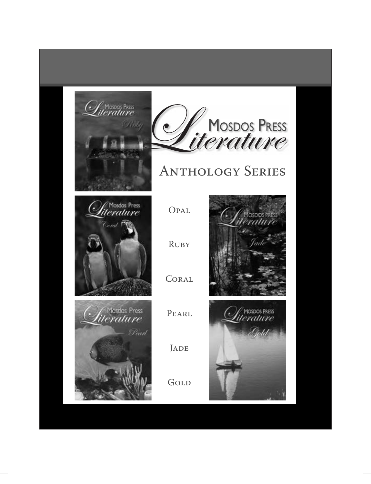



# **ANTHOLOGY SERIES**









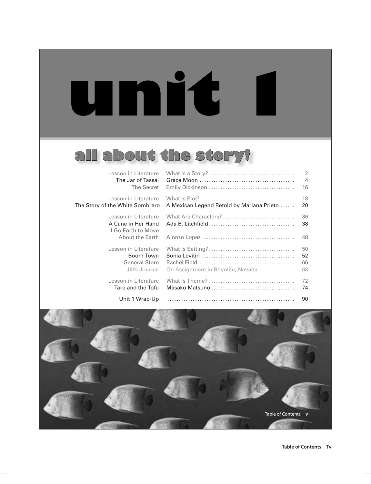**unit 1**

# **all about the story!**

| Lesson in Literature                                                                       |                                           | $\overline{2}$       |
|--------------------------------------------------------------------------------------------|-------------------------------------------|----------------------|
| The Jar of Tassai                                                                          |                                           | 4                    |
| The Secret                                                                                 |                                           | 16                   |
| Lesson in Literature                                                                       |                                           | 18                   |
| The Story of the White Sombrero                                                            | A Mexican Legend Retold by Mariana Prieto | 20                   |
| Lesson in Literature<br>A Cane in Her Hand<br>I Go Forth to Move<br><b>About the Earth</b> | What Are Characters?                      | 36<br>38<br>48       |
| Lesson in Literature<br>Boom Town<br><b>General Store</b><br>Jill's Journal                | On Assignment in Rhyolite, Nevada         | 50<br>52<br>66<br>68 |
| Lesson in Literature                                                                       |                                           | 72                   |
| Taro and the Tofu                                                                          |                                           | 74                   |

Unit 1 Wrap-Up ....................................................... 90

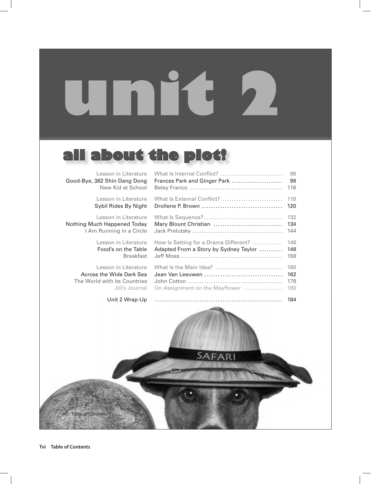# **unit 2**

# **all about the plot!**

| Lesson in Literature            | What Is Internal Conflict?            | 96  |
|---------------------------------|---------------------------------------|-----|
| Good-Bye, 382 Shin Dang Dong    | Frances Park and Ginger Park          | 98  |
| New Kid at School               |                                       | 116 |
| Lesson in Literature            | What Is External Conflict?            | 118 |
| Sybil Rides By Night            |                                       | 120 |
| Lesson in Literature            |                                       | 132 |
| Nothing Much Happened Today     | Mary Blount Christian                 | 134 |
| I Am Running in a Circle        |                                       | 144 |
| Lesson in Literature            | How Is Setting for a Drama Different? | 146 |
| Food's on the Table             | Adapted From a Story by Sydney Taylor | 148 |
| <b>Breakfast</b>                |                                       | 158 |
| Lesson in Literature            | What Is the Main Idea?                | 160 |
| <b>Across the Wide Dark Sea</b> | Jean Van Leeuwen                      | 162 |
| The World with its Countries    |                                       | 178 |
| Jill's Journal                  | On Assignment on the Mayflower        | 180 |
| Unit 2 Wrap-Up                  |                                       | 184 |

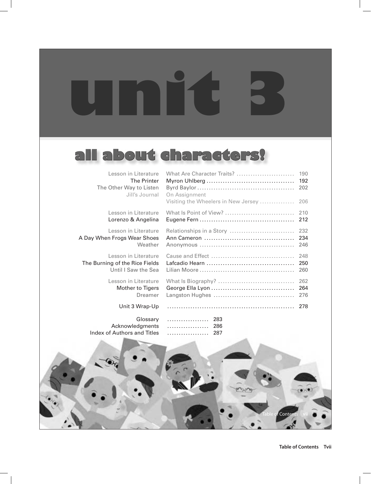# **all about characters!**

**unit 3**

| Lesson in Literature<br><b>The Printer</b><br>The Other Way to Listen<br>Jill's Journal | What Are Character Traits?<br>On Assignment<br>Visiting the Wheelers in New Jersey | 190<br>192<br>202<br>206 |
|-----------------------------------------------------------------------------------------|------------------------------------------------------------------------------------|--------------------------|
| Lesson in Literature                                                                    | What Is Point of View?                                                             | 210                      |
| Lorenzo & Angelina                                                                      |                                                                                    | 212                      |
| Lesson in Literature                                                                    | Relationships in a Story                                                           | 232                      |
| A Day When Frogs Wear Shoes                                                             |                                                                                    | 234                      |
| Weather                                                                                 |                                                                                    | 246                      |
| Lesson in Literature                                                                    |                                                                                    | 248                      |
| The Burning of the Rice Fields                                                          |                                                                                    | 250                      |
| Until I Saw the Sea                                                                     |                                                                                    | 260                      |
| Lesson in Literature                                                                    |                                                                                    | 262                      |
| Mother to Tigers                                                                        |                                                                                    | 264                      |
| Dreamer                                                                                 |                                                                                    | 276                      |
| Unit 3 Wrap-Up                                                                          |                                                                                    | 278                      |
| Glossary<br>Acknowledgments<br><b>Index of Authors and Titles</b>                       | 283<br>.<br>286<br>.<br>287<br>.                                                   |                          |
|                                                                                         |                                                                                    |                          |

 $(1)$ 

Conte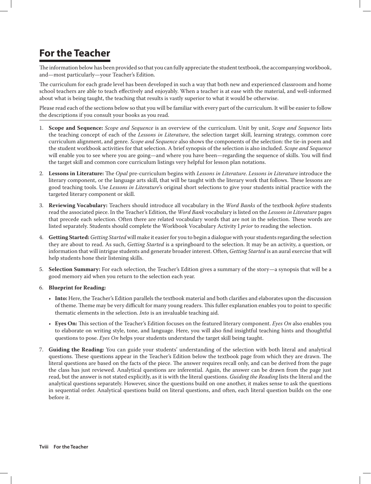# **For the Teacher**

The information below has been provided so that you can fully appreciate the student textbook, the accompanying workbook, and—most particularly—your Teacher's Edition.

The curriculum for each grade level has been developed in such a way that both new and experienced classroom and home school teachers are able to teach effectively and enjoyably. When a teacher is at ease with the material, and well-informed about what is being taught, the teaching that results is vastly superior to what it would be otherwise.

Please read each of the sections below so that you will be familiar with every part of the curriculum. It will be easier to follow the descriptions if you consult your books as you read.

- 1. **Scope and Sequence:** *Scope and Sequence* is an overview of the curriculum. Unit by unit, *Scope and Sequence* lists the teaching concept of each of the *Lessons in Literature*, the selection target skill, learning strategy, common core curriculum alignment, and genre. *Scope and Sequence* also shows the components of the selection: the tie-in poem and the student workbook activities for that selection. A brief synopsis of the selection is also included. *Scope and Sequence* will enable you to see where you are going—and where you have been—regarding the sequence of skills. You will find the target skill and common core curriculum listings very helpful for lesson plan notations.
- 2. **Lessons in Literature:** The *Opal* pre-curriculum begins with *Lessons in Literature*. *Lessons in Literature* introduce the literary component, or the language arts skill, that will be taught with the literary work that follows. These lessons are good teaching tools. Use *Lessons in Literature*'s original short selections to give your students initial practice with the targeted literary component or skill.
- 3. **Reviewing Vocabulary:** Teachers should introduce all vocabulary in the *Word Banks* of the textbook *before* students read the associated piece. In the Teacher's Edition, the *Word Bank* vocabulary is listed on the *Lessons in Literature* pages that precede each selection. Often there are related vocabulary words that are not in the selection. These words are listed separately. Students should complete the Workbook Vocabulary Activity I *prior* to reading the selection.
- 4. **Getting Started:** *Getting Started* will make it easier for you to begin a dialogue with your students regarding the selection they are about to read. As such, *Getting Started* is a springboard to the selection. It may be an activity, a question, or information that will intrigue students and generate broader interest. Often, *Getting Started* is an aural exercise that will help students hone their listening skills.
- 5. **Selection Summary:** For each selection, the Teacher's Edition gives a summary of the story—a synopsis that will be a good memory aid when you return to the selection each year.

#### 6. **Blueprint for Reading:**

- • **Into:** Here, the Teacher's Edition parallels the textbook material and both clarifies and elaborates upon the discussion of theme. Theme may be very difficult for many young readers. This fuller explanation enables you to point to specific thematic elements in the selection. *Into* is an invaluable teaching aid.
- • **Eyes On:** This section of the Teacher's Edition focuses on the featured literary component. *Eyes On* also enables you to elaborate on writing style, tone, and language. Here, you will also find insightful teaching hints and thoughtful questions to pose. *Eyes On* helps your students understand the target skill being taught.
- 7. **Guiding the Reading:** You can guide your students' understanding of the selection with both literal and analytical questions. These questions appear in the Teacher's Edition below the textbook page from which they are drawn. The literal questions are based on the facts of the piece. The answer requires recall only, and can be derived from the page the class has just reviewed. Analytical questions are inferential. Again, the answer can be drawn from the page just read, but the answer is not stated explicitly, as it is with the literal questions. *Guiding the Reading* lists the literal and the analytical questions separately. However, since the questions build on one another, it makes sense to ask the questions in sequential order. Analytical questions build on literal questions, and often, each literal question builds on the one before it.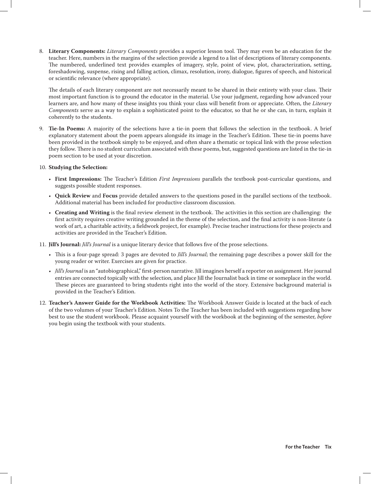8. **Literary Components:** *Literary Components* provides a superior lesson tool. They may even be an education for the teacher. Here, numbers in the margins of the selection provide a legend to a list of descriptions of literary components. The numbered, underlined text provides examples of imagery, style, point of view, plot, characterization, setting, foreshadowing, suspense, rising and falling action, climax, resolution, irony, dialogue, figures of speech, and historical or scientific relevance (where appropriate).

The details of each literary component are not necessarily meant to be shared in their entirety with your class. Their most important function is to ground the educator in the material. Use your judgment, regarding how advanced your learners are, and how many of these insights you think your class will benefit from or appreciate. Often, the *Literary Components* serve as a way to explain a sophisticated point to the educator, so that he or she can, in turn, explain it coherently to the students.

9. **Tie-In Poems:** A majority of the selections have a tie-in poem that follows the selection in the textbook. A brief explanatory statement about the poem appears alongside its image in the Teacher's Edition. These tie-in poems have been provided in the textbook simply to be enjoyed, and often share a thematic or topical link with the prose selection they follow. There is no student curriculum associated with these poems, but, suggested questions are listed in the tie-in poem section to be used at your discretion.

#### 10. **Studying the Selection:**

- • **First Impressions:** The Teacher's Edition *First Impressions* parallels the textbook post-curricular questions, and suggests possible student responses.
- • **Quick Review** and **Focus** provide detailed answers to the questions posed in the parallel sections of the textbook. Additional material has been included for productive classroom discussion.
- • **Creating and Writing** is the final review element in the textbook. The activities in this section are challenging: the first activity requires creative writing grounded in the theme of the selection, and the final activity is non-literate (a work of art, a charitable activity, a fieldwork project, for example). Precise teacher instructions for these projects and activities are provided in the Teacher's Edition.
- 11. **Jill's Journal:** *Jill's Journal* is a unique literary device that follows five of the prose selections.
	- • This is a four-page spread: 3 pages are devoted to *Jill's Journal*; the remaining page describes a power skill for the young reader or writer. Exercises are given for practice.
	- • *Jill's Journal* is an "autobiographical," first-person narrative. Jill imagines herself a reporter on assignment. Her journal entries are connected topically with the selection, and place Jill the Journalist back in time or someplace in the world. These pieces are guaranteed to bring students right into the world of the story. Extensive background material is provided in the Teacher's Edition.
- 12. **Teacher's Answer Guide for the Workbook Activities:** The Workbook Answer Guide is located at the back of each of the two volumes of your Teacher's Edition. Notes To the Teacher has been included with suggestions regarding how best to use the student workbook. Please acquaint yourself with the workbook at the beginning of the semester, *before* you begin using the textbook with your students.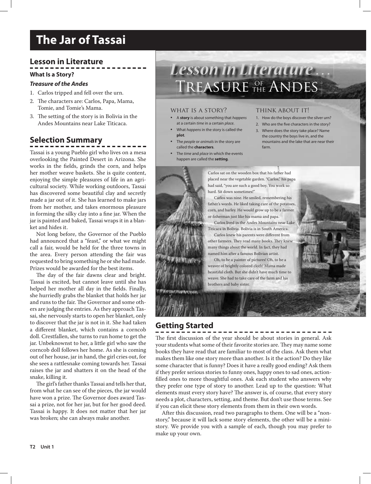# **Lesson in Literature**

**What Is a Story?**

#### *Treasure of the Andes*

- 1. Carlos tripped and fell over the urn.
- 2. The characters are: Carlos, Papa, Mama, Tomie, and Tomie's Mama.
- 3. The setting of the story is in Bolivia in the Andes Mountains near Lake Titicaca.

# **Selection Summary**

Tassai is a young Pueblo girl who lives on a mesa overlooking the Painted Desert in Arizona. She works in the fields, grinds the corn, and helps her mother weave baskets. She is quite content, enjoying the simple pleasures of life in an agricultural society. While working outdoors, Tassai has discovered some beautiful clay and secretly made a jar out of it. She has learned to make jars from her mother, and takes enormous pleasure in forming the silky clay into a fine jar. When the jar is painted and baked, Tassai wraps it in a blanket and hides it.

Not long before, the Governor of the Pueblo had announced that a "feast," or what we might call a fair, would be held for the three towns in the area. Every person attending the fair was requested to bring something he or she had made. Prizes would be awarded for the best items.

The day of the fair dawns clear and bright. Tassai is excited, but cannot leave until she has helped her mother all day in the fields. Finally, she hurriedly grabs the blanket that holds her jar and runs to the fair. The Governor and some others are judging the entries. As they approach Tassai, she nervously starts to open her blanket, only to discover that the jar is not in it. She had taken a different blanket, which contains a corncob doll. Crestfallen, she turns to run home to get the jar. Unbeknownst to her, a little girl who saw the corncob doll follows her home. As she is coming out of her house, jar in hand, the girl cries out, for she sees a rattlesnake coming towards her. Tassai raises the jar and shatters it on the head of the snake, killing it.

The girl's father thanks Tassai and tells her that, from what he can see of the pieces, the jar would have won a prize. The Governor does award Tassai a prize, not for her jar, but for her good deed. Tassai is happy. It does not matter that her jar was broken; she can always make another.

# *Lesson in Literature . . .* TREASURE THE ANDES **THE**

#### what is a story?

- A **story** is about something that *happens*  at a certain *time* in a certain *place*.
- What *happens* in the story is called the **plot**.
- The *people* or *animals* in the story are called the **characters**.
- The *time* and *place* in which the events happen are called the **setting**.

#### think about it!

- 1. How do the boys discover the silver urn?
- 2. Who are the five characters in the story?
- 3. Where does the story take place? Name the country the boys live in, and the mountains and the lake that are near their farm.



placed near the vegetable garden. "Carlos," his papa had said, "you are such a good boy. You work so hard. Sit down sometimes!"

Carlos was nine. He smiled, remembering his father's words. He liked taking care of the potatoes, corn, and barley. He would grow up to be a farmer or fisherman just like his mama and papa.

Carlos lived in the Andes Mountains near Lake Titicaca in Bolivia. Bolivia is in South America.

Carlos knew his parents were different from other farmers. They read many books. They knew many things about the world. In fact, they had named him after a famous Bolivian artist.

Oh, to be a painter of pictures! Oh, to be a weaver of brightly colored cloth! Mama made beautiful cloth. But she didn't have much time to weave. She had to take care of the farm and his brothers and baby sister.

# **Getting Started**

**2** Unit 1

---------------The first discussion of the year should be about stories in general. Ask your students what some of their favorite stories are. They may name some books they have read that are familiar to most of the class. Ask them what makes them like one story more than another. Is it the action? Do they like some character that is funny? Does it have a really good ending? Ask them if they prefer serious stories to funny ones, happy ones to sad ones, actionfilled ones to more thoughtful ones. Ask each student who answers why they prefer one type of story to another. Lead up to the question: What elements must every story have? The answer is, of course, that every story needs a plot, characters, setting, and theme. But don't use those terms. See if you can elicit these story elements from them in their own words.

After this discussion, read two paragraphs to them. One will be a "nonstory," because it will lack some story elements, the other will be a ministory. We provide you with a sample of each, though you may prefer to make up your own.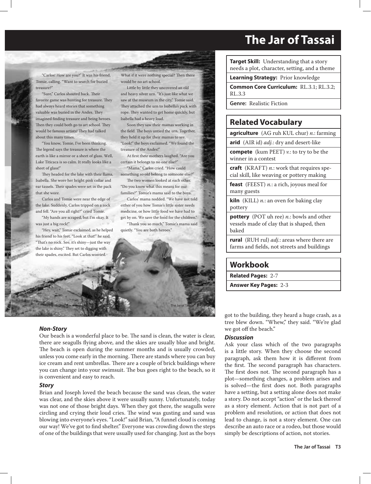"Carlos! How are you?" It was his friend, Tomie, calling. "Want to search for buried treasure?"

"Sure," Carlos shouted back. Their favorite game was hunting for treasure. They had always heard stories that something valuable was buried in the Andes. They imagined finding treasure and being heroes. Then they could both go to art school. They would be famous artists! They had talked about this many times.

"You know, Tomie, I've been thinking. The legend says the treasure is where the earth is like a mirror or a sheet of glass. Well, Lake Titicaca is so calm. It really looks like a sheet of glass!"

They headed for the lake with their llama, Isabella. She wore her bright pink collar and ear tassels. Their spades were set in the pack that she wore.

Carlos and Tomie were near the edge of the lake. Suddenly, Carlos tripped on a rock and fell. "Are you all right?" cried Tomie.

"My hands are scraped, but I'm okay. It was just a big rock!"

"Hey, wait," Tomie exclaimed, as he helped his friend to his feet. "Look at that!" he said. "That's no rock. See, it's shiny-just the way the lake is shiny." They set to digging with their spades, excited. But Carlos worried.

What if it were nothing special? Then there would be no art school.

Little by little they uncovered an old and heavy silver urn. "It's just like what we saw at the museum in the city," Tomie said. They attached the urn to Isabella's pack with rope. They wanted to get home quickly, but Isabella had a heavy load.

Soon they saw their mamas working in the field. The boys untied the urn. Together, they held it up for their mamas to see. "Look!" the boys exclaimed. "We found the treasure of the Andes!"

At first their mothers laughed. "Are you certain it belongs to no one else?"

"Mama," Carlos cried. "How could something so old belong to someone else?"

The two women looked at each other. "Do you know what this means for our families?" Tomie's mama said to the boys.

Carlos' mama nodded. "We have not told either of you how Tomie's little sister needs medicine, or how little food we have had to get by on. We save the food for the children." "Thank you so much," Tomie's mama said

quietly. "You are both heroes."



#### *Non-Story*

Our beach is a wonderful place to be. The sand is clean, the water is clear, there are seagulls flying above, and the skies are usually blue and bright. The beach is open during the summer months and is usually crowded, unless you come early in the morning. There are stands where you can buy ice cream and rent umbrellas. There are a couple of brick buildings where you can change into your swimsuit. The bus goes right to the beach, so it is convenient and easy to reach.

#### *Story*

Brian and Joseph loved the beach because the sand was clean, the water was clear, and the skies above it were usually sunny. Unfortunately, today was not one of those bright days. When they got there, the seagulls were circling and crying their loud cries. The wind was gusting and sand was blowing into everyone's eyes. "Look!" said Brian, "A funnel cloud is coming our way! We've got to find shelter." Everyone was crowding down the steps of one of the buildings that were usually used for changing. Just as the boys

**Target Skill:** Understanding that a story needs a plot, character, setting, and a theme

**Learning Strategy:** Prior knowledge

**Common Core Curriculum:** RL.3.1; RL.3.2; RL.3.3

**Genre:** Realistic Fiction

## **Related Vocabulary**

**agriculture** (AG ruh KUL chur) *n.*: farming

**arid** (AIR id) *adj.*: dry and desert-like

**compete** (kum PEET) *v.*: to try to be the winner in a contest

**craft** (KRAFT) *n.*: work that requires special skill, like weaving or pottery making

**feast** (FEEST) *n.*: a rich, joyous meal for many guests

**kiln** (KILL) *n.*: an oven for baking clay pottery

**pottery** (POT uh ree) *n.*: bowls and other vessels made of clay that is shaped, then baked

**rural** (RUH rul) *adj.*: areas where there are farms and fields, not streets and buildings

### **Workbook**

**Related Pages:** 2-7

**Answer Key Pages:** 2-3

got to the building, they heard a huge crash, as a tree blew down. "Whew," they said. "We're glad we got off the beach."

#### *Discussion*

Ask your class which of the two paragraphs is a little story. When they choose the second paragraph, ask them how it is different from the first. The second paragraph has characters. The first does not. The second paragraph has a plot—something changes, a problem arises and is solved—the first does not. Both paragraphs have a setting, but a setting alone does not make a story. Do not accept "action" or the lack thereof as a story element. Action that is not part of a problem and resolution, or action that does not lead to change, is not a story element. One can describe an auto race or a rodeo, but those would simply be descriptions of action, not stories.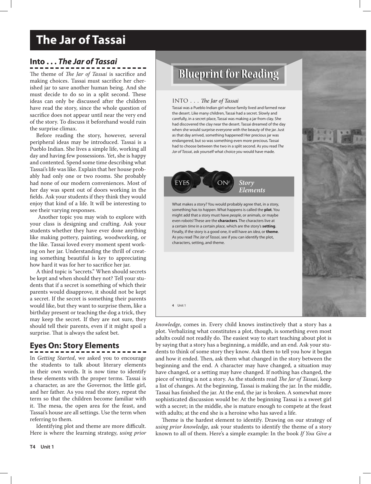# **Leah's Pony The Jar of Tassai**

# **Into . . .** *The Jar of Tassai*

The theme of *The Jar of Tassai* is sacrifice and making choices. Tassai must sacrifice her cherished jar to save another human being. And she must decide to do so in a split second. These ideas can only be discussed after the children have read the story, since the whole question of sacrifice does not appear until near the very end of the story. To discuss it beforehand would ruin the surprise climax.

Before reading the story, however, several peripheral ideas may be introduced. Tassai is a Pueblo Indian. She lives a simple life, working all day and having few possessions. Yet, she is happy and contented. Spend some time describing what Tassai's life was like. Explain that her house probably had only one or two rooms. She probably had none of our modern conveniences. Most of her day was spent out of doors working in the fields. Ask your students if they think they would enjoy that kind of a life. It will be interesting to see their varying responses.

 Another topic you may wish to explore with your class is designing and crafting. Ask your students whether they have ever done anything like making pottery, painting, woodworking, or the like. Tassai loved every moment spent working on her jar. Understanding the thrill of creating something beautiful is key to appreciating how hard it was for her to sacrifice her jar.

A third topic is "secrets." When should secrets be kept and when should they not? Tell your students that if a secret is something of which their parents would disapprove, it should not be kept a secret. If the secret is something their parents would like, but they want to surprise them, like a birthday present or teaching the dog a trick, they may keep the secret. If they are not sure, they should tell their parents, even if it might spoil a surprise. That is always the safest bet.

# **Eyes On: Story Elements**

In *Getting Started*, we asked you to encourage the students to talk about literary elements in their own words. It is now time to identify these elements with the proper terms. Tassai is a character, as are the Governor, the little girl, and her father. As you read the story, repeat the term so that the children become familiar with it. The mesa, the open area for the feast, and Tassai's house are all settings. Use the term when referring to them.

Identifying plot and theme are more difficult. Here is where the learning strategy, *using prior* 

# **Blueprint for Reading**

#### INTO . . . The Jar of Tassai

Tassai was a Pueblo Indian girl whose family lived and farmed near the desert. Like many children, Tassai had a secret. Slowly and carefully, in a secret place, Tassai was making a jar from clay. She had discovered the clay near the desert. Tassai dreamed of the day when she would surprise everyone with the beauty of the jar. Just as that day arrived, something happened! Her precious jar was endangered, but so was something even more precious. Tassai had to choose between the two in a split second. As you read *The Jar of Tassai*, ask yourself what choice *you* would have made.



What makes a story? You would probably agree that, in a story, something has to *happen*. What happens is called the **plot**. You might add that a story must have *people*, or animals, or maybe even robots! These are the **characters**. The characters live at a certain *time* in a certain *place*, which are the story's **setting**. Finally, if the story is a good one, it will have an *idea*, or **theme**. As you read *The Jar of Tassai*, see if you can identify the plot, characters, setting, and theme.

**4** Unit 1 The January 1 The January 1 The January 1 The January 1 The January 1 The January 1 The January 1 The January 1 The January 1 The January 1 The January 1 The January 1 The January 1 The January 1 The January 1 T

*knowledge*, comes in. Every child knows instinctively that a story has a plot. Verbalizing what constitutes a plot, though, is something even most adults could not readily do. The easiest way to start teaching about plot is by saying that a story has a beginning, a middle, and an end. Ask your students to think of some story they know. Ask them to tell you how it began and how it ended. Then, ask them what changed in the story between the beginning and the end. A character may have changed, a situation may have changed, or a setting may have changed. If nothing has changed, the piece of writing is not a story. As the students read *The Jar of Tassai*, keep a list of changes. At the beginning, Tassai is making the jar. In the middle, Tassai has finished the jar. At the end, the jar is broken. A somewhat more sophisticated discussion would be: At the beginning Tassai is a sweet girl with a secret; in the middle, she is mature enough to compete at the feast with adults; at the end she is a heroine who has saved a life.

Theme is the hardest element to identify. Drawing on our strategy of *using prior knowledge*, ask your students to identify the theme of a story known to all of them. Here's a simple example: In the book *If You Give a*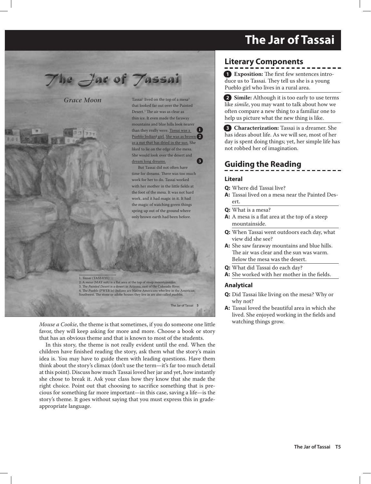

*Grace Moon*

Tassai $^1$  lived on the top of a mesa $^2$ that looked far out over the Painted Desert.<sup>3</sup> The air was as clear as thin ice. It even made the faraway mountains and blue hills look nearer than they really were. Tassai was a Pueblo Indian4 girl. She was as brown **2** as a nut that has dried in the sun. She liked to lie on the edge of the mesa. She would look over the desert and dream long dreams. **1 3**

But Tassai did not often have time for dreams. There was too much work for her to do. Tassai worked with her mother in the little fields at the foot of the mesa. It was not hard work, and it had magic in it. It had the magic of watching green things spring up out of the ground where only brown earth had been before.

1. *Tassai* (TASS EYE) 2. A *mesa* (MAY suh) is a flat area at the top of steep mountainsides. The Painted Desert is a desert in Arizona, east of the Colorado River. 4. The *Pueblo* (PWEB lo) *Indians* are Native Americans who live in the American Southwest. The stone or adobe houses they live in are also called *pueblos*.

**4** The Jar of Tassai 5

*Mouse a Cookie*, the theme is that sometimes, if you do someone one little favor, they will keep asking for more and more. Choose a book or story that has an obvious theme and that is known to most of the students.

In this story, the theme is not really evident until the end. When the children have finished reading the story, ask them what the story's main idea is. You may have to guide them with leading questions. Have them think about the story's climax (don't use the term—it's far too much detail at this point). Discuss how much Tassai loved her jar and yet, how instantly she chose to break it. Ask your class how they know that she made the right choice. Point out that choosing to sacrifice something that is precious for something far more important—in this case, saving a life—is the story's theme. It goes without saying that you must express this in gradeappropriate language.

# **Literary Components**

**1 Exposition:** The first few sentences introduce us to Tassai. They tell us she is a young Pueblo girl who lives in a rural area.

**2 Simile:** Although it is too early to use terms like *simile*, you may want to talk about how we often compare a new thing to a familiar one to help us picture what the new thing is like.

**3 Characterization:** Tassai is a dreamer. She has ideas about life. As we will see, most of her day is spent doing things; yet, her simple life has not robbed her of imagination.

# **Guiding the Reading**

#### **Literal**

- **Q:** Where did Tassai live?
- **A:** Tassai lived on a mesa near the Painted Desert.
- **Q:** What is a mesa?
- **A:** A mesa is a flat area at the top of a steep mountainside.
- **Q:** When Tassai went outdoors each day, what view did she see?
- **A:** She saw faraway mountains and blue hills. The air was clear and the sun was warm. Below the mesa was the desert.
- **Q:** What did Tassai do each day?
- **A:** She worked with her mother in the fields.

- **Q:** Did Tassai like living on the mesa? Why or why not?
- **A:** Tassai loved the beautiful area in which she lived. She enjoyed working in the fields and watching things grow.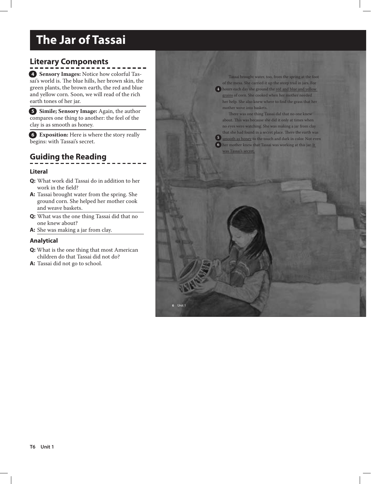# **Literary Components**

**4 Sensory Images:** Notice how colorful Tassai's world is. The blue hills, her brown skin, the green plants, the brown earth, the red and blue and yellow corn. Soon, we will read of the rich earth tones of her jar.

**5 Simile; Sensory Image:** Again, the author compares one thing to another: the feel of the clay is as smooth as honey.

**6 Exposition:** Here is where the story really begins: with Tassai's secret.

# **Guiding the Reading**

#### **Literal**

- **Q:** What work did Tassai do in addition to her work in the field?
- **A:** Tassai brought water from the spring. She ground corn. She helped her mother cook and weave baskets.
- **Q:** What was the one thing Tassai did that no one knew about?
- **A:** She was making a jar from clay.

#### **Analytical**

- **Q:** What is the one thing that most American children do that Tassai did not do?
- **A:** Tassai did not go to school.

Tassai brought water, too, from the spring at the foot of the mesa. She carried it up the steep trail in jars. For hours each day she ground the red and blue and yellow **4** grains of corn. She cooked when her mother needed her help. She also knew where to find the grass that her mother wove into baskets.

There was one thing Tassai did that no one knew about. This was because she did it only at times when no eyes were watching. She was making a jar from clay that she had found in a secret place. There the earth was **5** smooth as honey to the touch and dark in color. Not even **6** her mother knew that Tassai was working at this jar. <u>It i</u> was Tassai's secret.

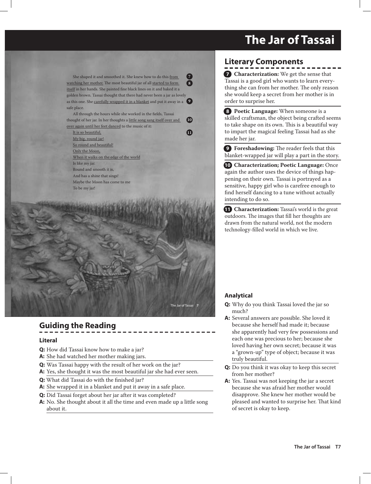She shaped it and smoothed it. She knew how to do this from watching her mother. The most beautiful jar of all started to form itself in her hands. She painted fine black lines on it and baked it a golden brown. Tassai thought that there had never been a jar as lovely as this one. She carefully wrapped it in a blanket and put it away in a **9** safe place. **7 8**

All through the hours while she worked in the fields, Tassai thought of her jar. In her thoughts a little song sang itself over and over again until her feet danced to the music of it:

**10**

**11**

It is so beautiful, My big, round jar! So round and beautiful! Only the Moon, When it walks on the edge of the world Is like my jar. Round and smooth it is, And has a shine that sings! Maybe the Moon has come to me To be my jar!

**6** Unit 1 The Jar of Tassai **7**

# **Guiding the Reading**

#### **Literal**

- **Q:** How did Tassai know how to make a jar?
- **A:** She had watched her mother making jars.
- **Q:** Was Tassai happy with the result of her work on the jar?
- **A:** Yes, she thought it was the most beautiful jar she had ever seen.
- **Q:** What did Tassai do with the finished jar?
- **A:** She wrapped it in a blanket and put it away in a safe place.
- **Q:** Did Tassai forget about her jar after it was completed?
- **A:** No. She thought about it all the time and even made up a little song about it.

# **Literary Components**

**7 Characterization:** We get the sense that Tassai is a good girl who wants to learn everything she can from her mother. The only reason she would keep a secret from her mother is in order to surprise her.

**8 Poetic Language:** When someone is a skilled craftsman, the object being crafted seems to take shape on its own. This is a beautiful way to impart the magical feeling Tassai had as she made her jar.

**9 Foreshadowing:** The reader feels that this blanket-wrapped jar will play a part in the story.

**10 Characterization; Poetic Language:** Once again the author uses the device of things happening on their own. Tassai is portrayed as a sensitive, happy girl who is carefree enough to find herself dancing to a tune without actually intending to do so.

**11 Characterization:** Tassai's world is the great outdoors. The images that fill her thoughts are drawn from the natural world, not the modern technology-filled world in which we live.

- **Q:** Why do you think Tassai loved the jar so much?
- **A:** Several answers are possible. She loved it because she herself had made it; because she apparently had very few possessions and each one was precious to her; because she loved having her own secret; because it was a "grown-up" type of object; because it was truly beautiful.
- **Q:** Do you think it was okay to keep this secret from her mother?
- **A:** Yes. Tassai was not keeping the jar a secret because she was afraid her mother would disapprove. She knew her mother would be pleased and wanted to surprise her. That kind of secret is okay to keep.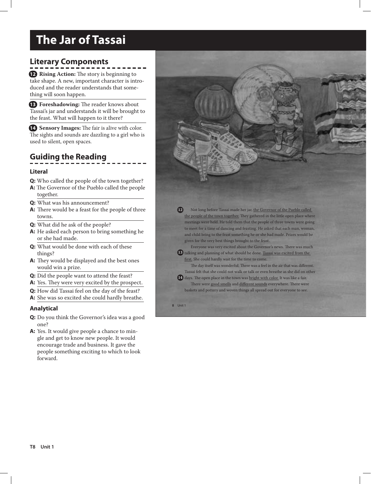# **Literary Components**

**12 Rising Action:** The story is beginning to take shape. A new, important character is introduced and the reader understands that something will soon happen.

**13 Foreshadowing:** The reader knows about Tassai's jar and understands it will be brought to the feast. What will happen to it there?

**14 Sensory Images:** The fair is alive with color. The sights and sounds are dazzling to a girl who is used to silent, open spaces.

# **Guiding the Reading**

#### **Literal**

- **Q:** Who called the people of the town together?
- **A:** The Governor of the Pueblo called the people together.
- **Q:** What was his announcement?
- **A:** There would be a feast for the people of three towns.
- **Q:** What did he ask of the people?
- **A:** He asked each person to bring something he or she had made.
- **Q:** What would be done with each of these things?
- **A:** They would be displayed and the best ones would win a prize.
- **Q:** Did the people want to attend the feast?
- A: Yes. They were very excited by the prospect.
- **Q:** How did Tassai feel on the day of the feast?
- **A:** She was so excited she could hardly breathe.

#### **Analytical**

- **Q:** Do you think the Governor's idea was a good one?
- **A:** Yes. It would give people a chance to mingle and get to know new people. It would encourage trade and business. It gave the people something exciting to which to look forward.

Not long before Tassai made her jar, the Governor of the Pueblo called the people of the town together. They gathered in the little open place where meetings were held. He told them that the people of three towns were going to meet for a time of dancing and feasting. He asked that each man, woman, and child bring to the feast something he or she had made. Prizes would be given for the very best things brought to the feast. Everyone was very excited about the Governor's news. There was much **12**

13 talking and planning of what should be done. Tassai was excited from the first. She could hardly wait for the time to come.

The day itself was wonderful. There was a feel in the air that was different. Tassai felt that she could not walk or talk or even breathe as she did on other

**14** days. The open place in the town was <u>bright with color.</u> It was like a fair. There were good smells and different sounds everywhere. There were baskets and pottery and woven things all spread out for everyone to see.

**8** Unit 1 The January 1 The January 1 The January 1 The January 1 The January 1 The January 1 The January 1 The January 1 The January 1 The January 1 The January 1 The January 1 The January 1 The January 1 The January 1 T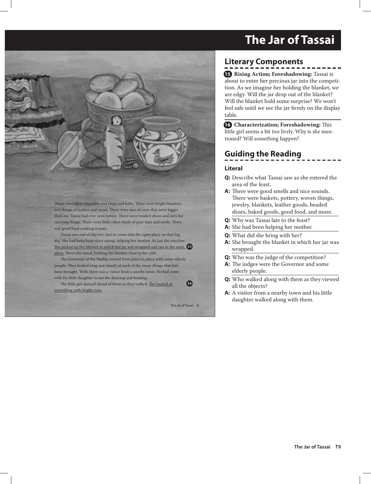There were silver bracelets and rings and belts. There were bright blankets and things of leather and wood. There were ears of corn that were bigger than any Tassai had ever seen before. There were beaded shoes and nets for carrying things. There were little cakes made of pine nuts and seeds. There was good food cooking in pots.

Tassai was one of the very last to come into the open place on that big day. She had been busy since sunup, helping her mother. At last she was free. She picked up the blanket in which her jar was wrapped and ran to the open **15** place. There she stood, holding the blanket close to her side.

The Governor of the Pueblo moved from place to place with some elderly people. They looked long and closely at each of the many things that had been brought. With them was a visitor from a nearby town. He had come with his little daughter to see the dancing and feasting.

The little girl danced ahead of them as they walked. She looked at everything with bright eyes.

**8** International control of the Jar of Tassai **9** International control of the Jar of Tassai **9** 

**16**

# **Literary Components**

**15 Rising Action; Foreshadowing:** Tassai is about to enter her precious jar into the competition. As we imagine her holding the blanket, we are edgy. Will the jar drop out of the blanket? Will the blanket hold some surprise? We won't feel safe until we see the jar firmly on the display table.

**16 Characterization; Foreshadowing:** This little girl seems a bit too lively. Why is she mentioned? Will something happen?

# **Guiding the Reading**

#### **Literal**

- **Q:** Describe what Tassai saw as she entered the area of the feast.
- **A:** There were good smells and nice sounds. There were baskets, pottery, woven things, jewelry, blankets, leather goods, beaded shoes, baked goods, good food, and more.
- **Q:** Why was Tassai late to the feast?
- **A:** She had been helping her mother.
- **Q:** What did she bring with her?
- **A:** She brought the blanket in which her jar was wrapped.
- **Q:** Who was the judge of the competition?
- **A:** The judges were the Governor and some elderly people.
- **Q:** Who walked along with them as they viewed all the objects?
- **A:** A visitor from a nearby town and his little daughter walked along with them.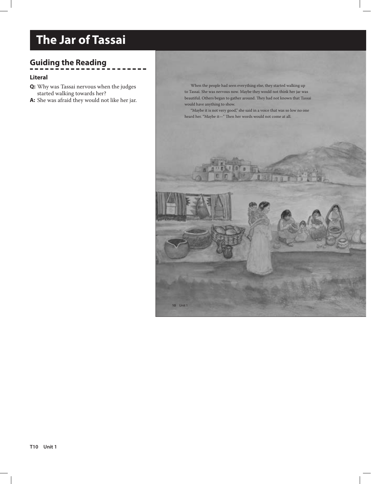# **Guiding the Reading**

#### **Literal**

- **Q:** Why was Tassai nervous when the judges started walking towards her?
- **A:** She was afraid they would not like her jar.

When the people had seen everything else, they started walking up to Tassai. She was nervous now. Maybe they would not think her jar was beautiful. Others began to gather around. They had not known that Tassai would have anything to show.

"Maybe it is not very good," she said in a voice that was so low no one heard her. "Maybe it—" Then her words would not come at all.

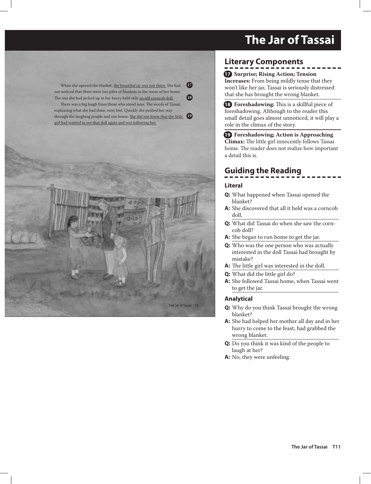When she opened the blanket, the beautiful jar was not there. She had not noticed that there were two piles of blankets in the room of her home. The one she had picked up in her hurry held only <u>an old corncob doll.</u>

There was a big laugh from those who stood near. The words of Tassai, explaining what she had done, were lost. Quickly she pushed her way through the laughing people and ran home. She did not know that the little girl had wanted to see that doll again and was following her. **19**



# **Literary Components**

**17 Surprise; Rising Action; Tension Increases:** From being mildly tense that they won't like her jar, Tassai is seriously distressed that she has brought the wrong blanket.

**18 Foreshadowing:** This is a skillful piece of foreshadowing. Although to the reader this small detail goes almost unnoticed, it will play a role in the climax of the story.

**19 Foreshadowing; Action is Approaching Climax:** The little girl innocently follows Tassai home. The reader does not realize how important a detail this is.

# **Guiding the Reading**

#### **Literal**

**17**

**18**

- **Q:** What happened when Tassai opened the blanket?
- **A:** She discovered that all it held was a corncob doll.
- **Q:** What did Tassai do when she saw the corncob doll?
- **A:** She began to run home to get the jar.
- **Q:** Who was the one person who was actually interested in the doll Tassai had brought by mistake?
- **A:** The little girl was interested in the doll.
- **Q:** What did the little girl do?
- **A:** She followed Tassai home, when Tassai went to get the jar.

- **Q:** Why do you think Tassai brought the wrong blanket?
- **A:** She had helped her mother all day and in her hurry to come to the feast, had grabbed the wrong blanket.
- **Q:** Do you think it was kind of the people to laugh at her?
- **A:** No, they were unfeeling.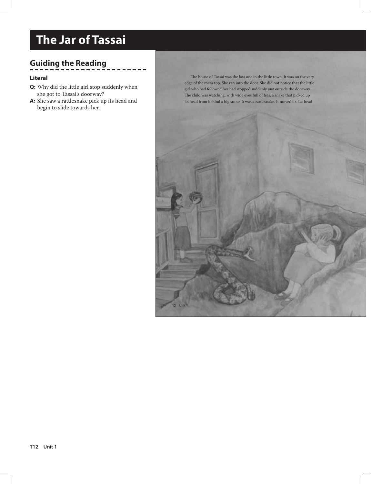# **Guiding the Reading**

#### **Literal**

- **Q:** Why did the little girl stop suddenly when she got to Tassai's doorway?
- **A:** She saw a rattlesnake pick up its head and begin to slide towards her.

The house of Tassai was the last one in the little town. It was on the very edge of the mesa top. She ran into the door. She did not notice that the little girl who had followed her had stopped suddenly just outside the doorway. The child was watching, with wide eyes full of fear, a snake that picked up its head from behind a big stone. It was a rattlesnake. It moved its flat head

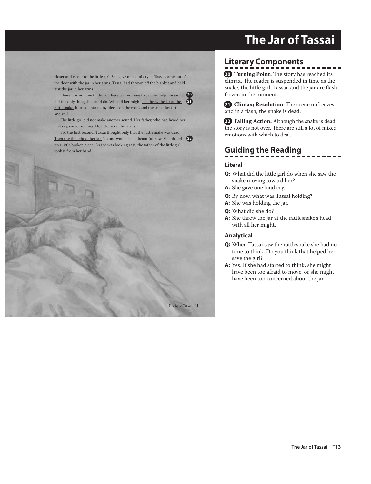closer and closer to the little girl. She gave one loud cry as Tassai came out of the door with the jar in her arms. Tassai had thrown off the blanket and held just the jar in her arms.

There was no time to think. There was no time to call for help. Tassai did the only thing she could do. With all her might she threw the jar at the **21** rattlesnake. It broke into many pieces on the rock, and the snake lay flat and still. **20**

The little girl did not make another sound. Her father, who had heard her first cry, came running. He held her in his arms.

For the first second, Tassai thought only that the rattlesnake was dead. Then she thought of her jar. No one would call it beautiful now. She picked up a little broken piece. As she was looking at it, the father of the little girl took it from her hand. **22**



# **Literary Components**

**20 Turning Point:** The story has reached its climax. The reader is suspended in time as the snake, the little girl, Tassai, and the jar are flashfrozen in the moment.

**21 Climax; Resolution:** The scene unfreezes and in a flash, the snake is dead.

**22 Falling Action:** Although the snake is dead, the story is not over. There are still a lot of mixed emotions with which to deal.

# **Guiding the Reading**

#### **Literal**

- **Q:** What did the little girl do when she saw the snake moving toward her?
- **A:** She gave one loud cry.
- **Q:** By now, what was Tassai holding?
- **A:** She was holding the jar.
- **Q:** What did she do?
- **A:** She threw the jar at the rattlesnake's head with all her might.

- **Q:** When Tassai saw the rattlesnake she had no time to think. Do you think that helped her save the girl?
- **A:** Yes. If she had started to think, she might have been too afraid to move, or she might have been too concerned about the jar.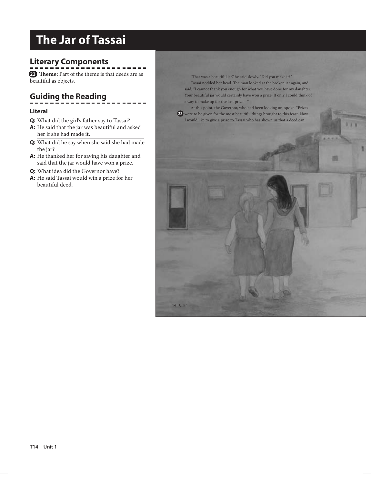# **Literary Components**

**23 Theme:** Part of the theme is that deeds are as beautiful as objects.

# **Guiding the Reading**

#### **Literal**

- **Q:** What did the girl's father say to Tassai?
- **A:** He said that the jar was beautiful and asked her if she had made it.
- **Q:** What did he say when she said she had made the jar?
- **A:** He thanked her for saving his daughter and said that the jar would have won a prize.
- **Q:** What idea did the Governor have?
- **A:** He said Tassai would win a prize for her beautiful deed.

" That was a beautiful jar," he said slowly. "Did you make it?" Tassai nodded her head. The man looked at the broken jar again, and said, "I cannot thank you enough for what you have done for my daughter. Your beautiful jar would certainly have won a prize. If only I could think of a way to make up for the lost prize—"

At this point, the Governor, who had been looking on, spoke. "Prizes **23** were to be given for the most beautiful things brought to this feast. <u>Now</u> I would like to give a prize to Tassai who has shown us that a deed can

**14** Unit 1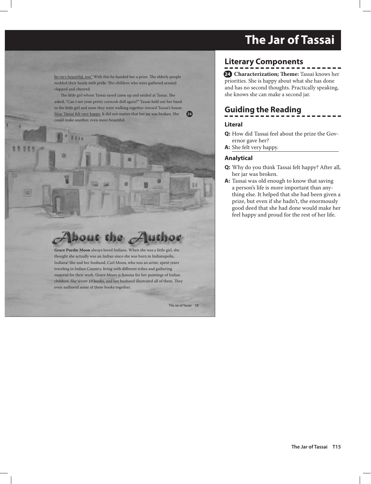be very beautiful, too." With this he handed her a prize. The elderly people nodded their heads with pride. The children who were gathered around clapped and cheered.

The little girl whom Tassai saved came up and smiled at Tassai. She asked, "Can I see your pretty corncob doll again?" Tassai held out her hand to the little girl and soon they were walking together toward Tassai's house. Now Tassai felt very happy. It did not matter that her jar was broken. She **23 24** could make another, even more beautiful.

#### bout the  $Z$ luthor

**Grace Purdie Moon** always loved Indians. When she was a little girl, she thought she actually was an Indian since she was born in Indianapolis, Indiana! She and her husband, Carl Moon, who was an artist, spent years traveling in Indian Country, living with different tribes and gathering material for their work. Grace Moon is famous for her paintings of Indian children. She wrote 19 books, and her husband illustrated all of them. They even authored some of these books together.

**14** Unit 1 The Jar of Tassai 15

# **Literary Components**

**24 Characterization; Theme:** Tassai knows her priorities. She is happy about what she has done and has no second thoughts. Practically speaking, she knows she can make a second jar.

# **Guiding the Reading**

#### **Literal**

**Q:** How did Tassai feel about the prize the Governor gave her?

**A:** She felt very happy.

- **Q:** Why do you think Tassai felt happy? After all, her jar was broken.
- **A:** Tassai was old enough to know that saving a person's life is more important than anything else. It helped that she had been given a prize, but even if she hadn't, the enormously good deed that she had done would make her feel happy and proud for the rest of her life.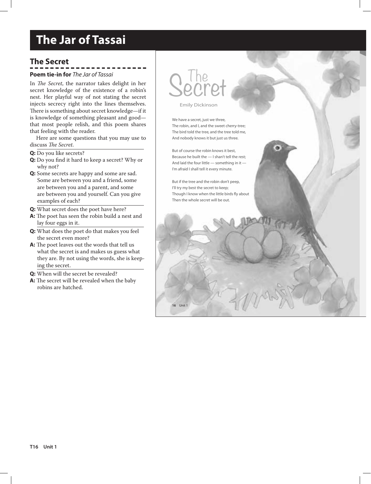# **The Secret**

#### **Poem tie-in for** *The Jar of Tassai*

In *The Secret*, the narrator takes delight in her secret knowledge of the existence of a robin's nest. Her playful way of not stating the secret injects secrecy right into the lines themselves. There is something about secret knowledge—if it is knowledge of something pleasant and good that most people relish, and this poem shares that feeling with the reader.

Here are some questions that you may use to discuss *The Secret*.

- **Q:** Do you like secrets?
- **Q:** Do you find it hard to keep a secret? Why or why not?
- **Q:** Some secrets are happy and some are sad. Some are between you and a friend, some are between you and a parent, and some are between you and yourself. Can you give examples of each?
- **Q:** What secret does the poet have here?
- **A:** The poet has seen the robin build a nest and lay four eggs in it.
- **Q:** What does the poet do that makes you feel the secret even more?
- **A:** The poet leaves out the words that tell us what the secret is and makes us guess what they are. By not using the words, she is keeping the secret.
- **Q:** When will the secret be revealed?
- **A:** The secret will be revealed when the baby robins are hatched.

# Secret

Emily Dickinson

We have a secret, just we three, The robin, and I, and the sweet cherry-tree; The bird told the tree, and the tree told me, And nobody knows it but just us three.

But of course the robin knows it best, Because he built the — I shan't tell the rest; And laid the four little — something in it — I'm afraid I shall tell it every minute.

But if the tree and the robin don't peep, I'll try my best the secret to keep: Though I know when the little birds fly about Then the whole secret will be out.

**16** Unit 1